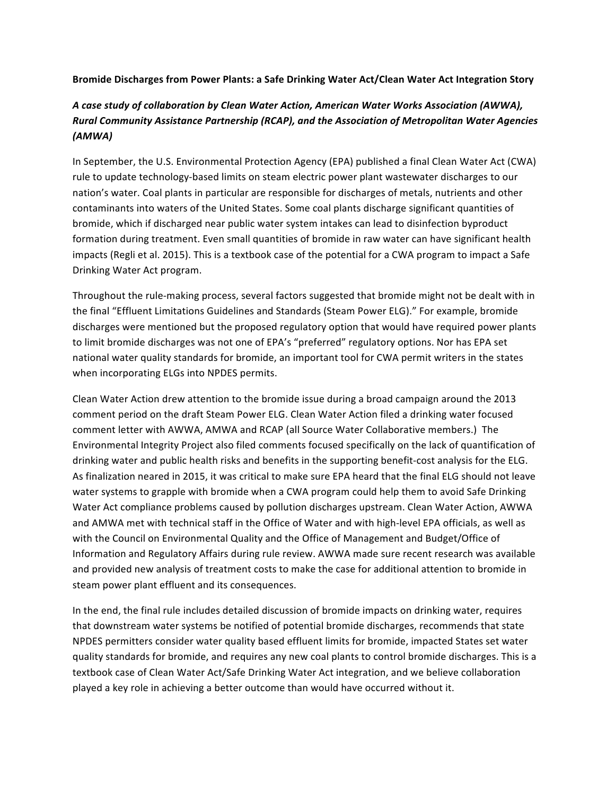## Bromide Discharges from Power Plants: a Safe Drinking Water Act/Clean Water Act Integration Story

## *A case study of collaboration by Clean Water Action, American Water Works Association (AWWA), Rural Community Assistance Partnership (RCAP), and the Association of Metropolitan Water Agencies (AMWA)*

In September, the U.S. Environmental Protection Agency (EPA) published a final Clean Water Act (CWA) rule to update technology-based limits on steam electric power plant wastewater discharges to our nation's water. Coal plants in particular are responsible for discharges of metals, nutrients and other contaminants into waters of the United States. Some coal plants discharge significant quantities of bromide, which if discharged near public water system intakes can lead to disinfection byproduct formation during treatment. Even small quantities of bromide in raw water can have significant health impacts (Regli et al. 2015). This is a textbook case of the potential for a CWA program to impact a Safe Drinking Water Act program.

Throughout the rule-making process, several factors suggested that bromide might not be dealt with in the final "Effluent Limitations Guidelines and Standards (Steam Power ELG)." For example, bromide discharges were mentioned but the proposed regulatory option that would have required power plants to limit bromide discharges was not one of EPA's "preferred" regulatory options. Nor has EPA set national water quality standards for bromide, an important tool for CWA permit writers in the states when incorporating ELGs into NPDES permits.

Clean Water Action drew attention to the bromide issue during a broad campaign around the 2013 comment period on the draft Steam Power ELG. Clean Water Action filed a drinking water focused comment letter with AWWA, AMWA and RCAP (all Source Water Collaborative members.) The Environmental Integrity Project also filed comments focused specifically on the lack of quantification of drinking water and public health risks and benefits in the supporting benefit-cost analysis for the ELG. As finalization neared in 2015, it was critical to make sure EPA heard that the final ELG should not leave water systems to grapple with bromide when a CWA program could help them to avoid Safe Drinking Water Act compliance problems caused by pollution discharges upstream. Clean Water Action, AWWA and AMWA met with technical staff in the Office of Water and with high-level EPA officials, as well as with the Council on Environmental Quality and the Office of Management and Budget/Office of Information and Regulatory Affairs during rule review. AWWA made sure recent research was available and provided new analysis of treatment costs to make the case for additional attention to bromide in steam power plant effluent and its consequences.

In the end, the final rule includes detailed discussion of bromide impacts on drinking water, requires that downstream water systems be notified of potential bromide discharges, recommends that state NPDES permitters consider water quality based effluent limits for bromide, impacted States set water quality standards for bromide, and requires any new coal plants to control bromide discharges. This is a textbook case of Clean Water Act/Safe Drinking Water Act integration, and we believe collaboration played a key role in achieving a better outcome than would have occurred without it.